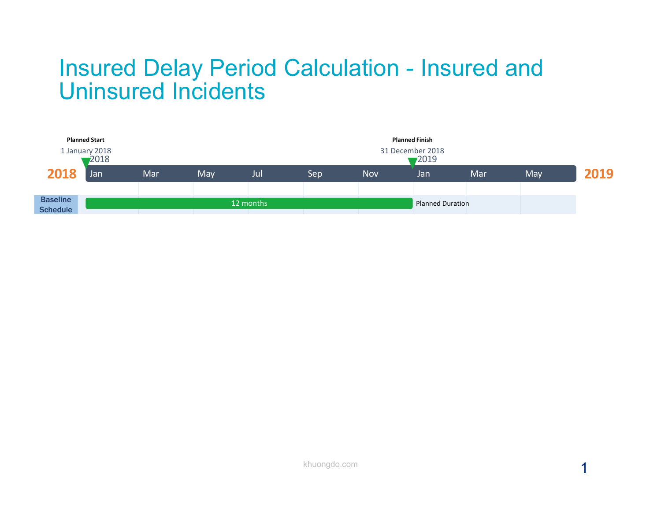## Insured Delay Period Calculation - Insured and Uninsured Incidents

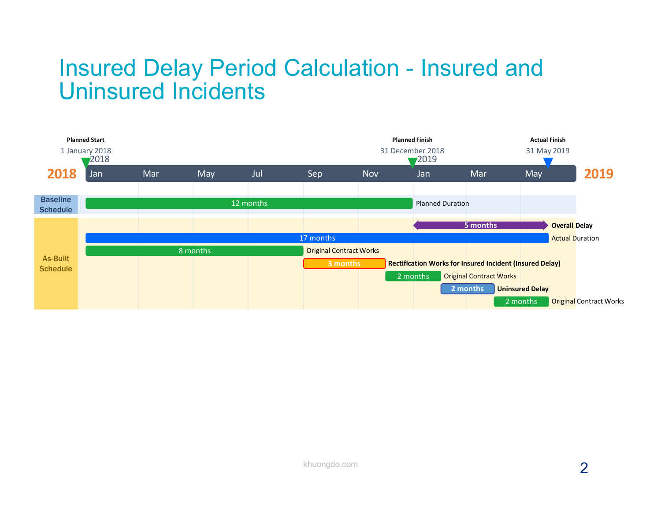## Insured Delay Period Calculation - Insured and **Insured Delay Period Calculation - Insured and Uninsured Incidents**

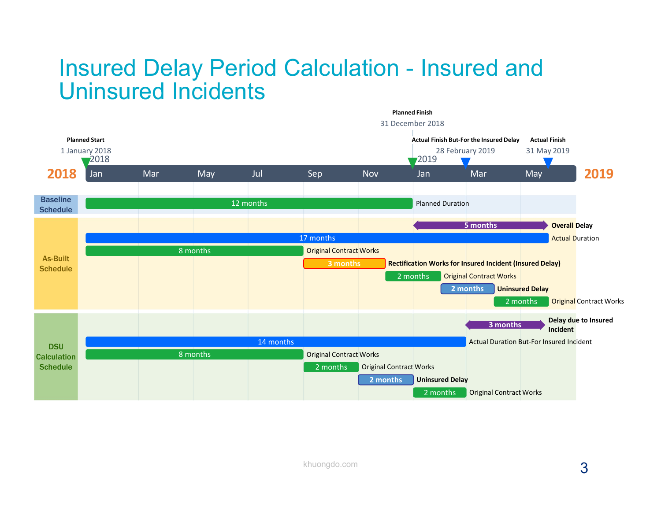## **Insured Delay Period Calculation - Insured and<br>Uninsured Incidents** Uninsured Incidents

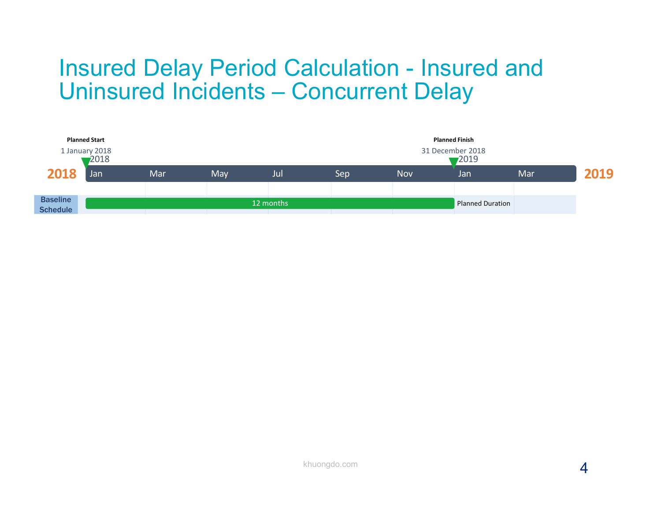# Insured Delay Period Calculation - Insured and Insured Delay Period Calculation - Insured and<br>Uninsured Incidents — Concurrent Delay<br>Alanced Binak

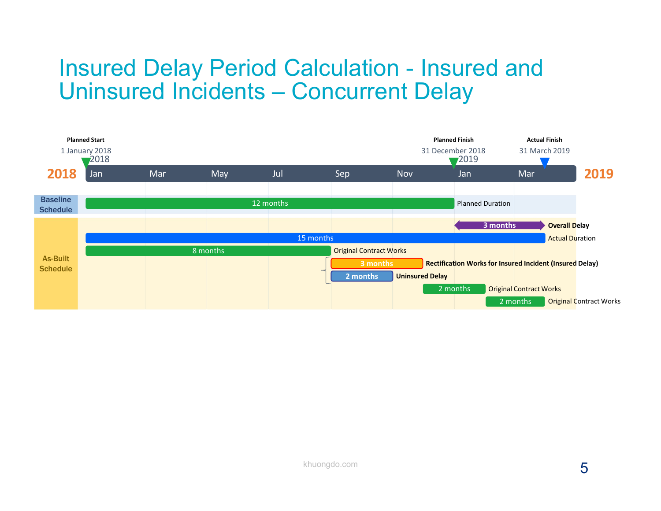# Insured Delay Period Calculation - Insured and Insured Delay Period Calculation - Insured and<br>Uninsured Incidents — Concurrent Delay<br>Alanced Binkh Actual Finish Actual Finish Actual Finish Actual Finish Actual Finish Actual Finish Actual Finish